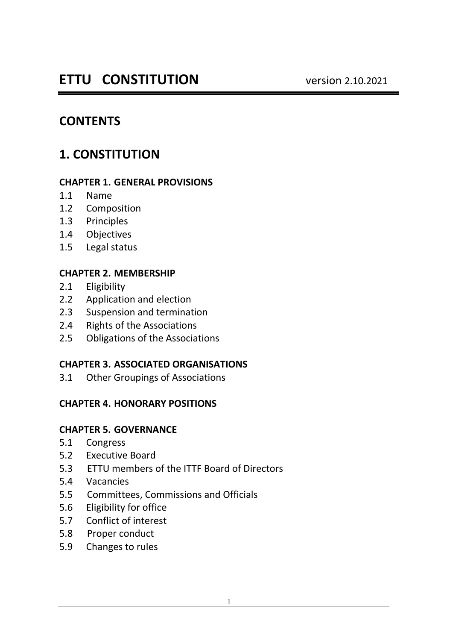# **CONTENTS**

# **1. CONSTITUTION**

#### **CHAPTER 1. GENERAL PROVISIONS**

- 1.1 Name
- 1.2 Composition
- 1.3 Principles
- 1.4 Objectives
- 1.5 Legal status

### **CHAPTER 2. MEMBERSHIP**

- 2.1 Eligibility
- 2.2 Application and election
- 2.3 Suspension and termination
- 2.4 Rights of the Associations
- 2.5 Obligations of the Associations

### **CHAPTER 3. ASSOCIATED ORGANISATIONS**

3.1 Other Groupings of Associations

### **CHAPTER 4. HONORARY POSITIONS**

### **CHAPTER 5. GOVERNANCE**

- 5.1 Congress
- 5.2 Executive Board
- 5.3 ETTU members of the ITTF Board of Directors
- 5.4 Vacancies
- 5.5 Committees, Commissions and Officials
- 5.6 Eligibility for office
- 5.7 Conflict of interest
- 5.8 Proper conduct
- 5.9 Changes to rules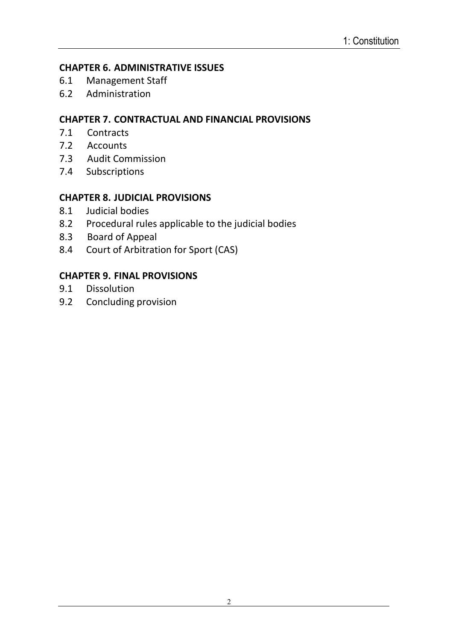#### **CHAPTER 6. ADMINISTRATIVE ISSUES**

- 6.1 Management Staff
- 6.2 Administration

### **CHAPTER 7. CONTRACTUAL AND FINANCIAL PROVISIONS**

- 7.1 Contracts
- 7.2 Accounts
- 7.3 Audit Commission
- 7.4 Subscriptions

### **CHAPTER 8. JUDICIAL PROVISIONS**

- 8.1 Judicial bodies
- 8.2 Procedural rules applicable to the judicial bodies
- 8.3 Board of Appeal
- 8.4 Court of Arbitration for Sport (CAS)

### **CHAPTER 9. FINAL PROVISIONS**

- 9.1 Dissolution
- 9.2 Concluding provision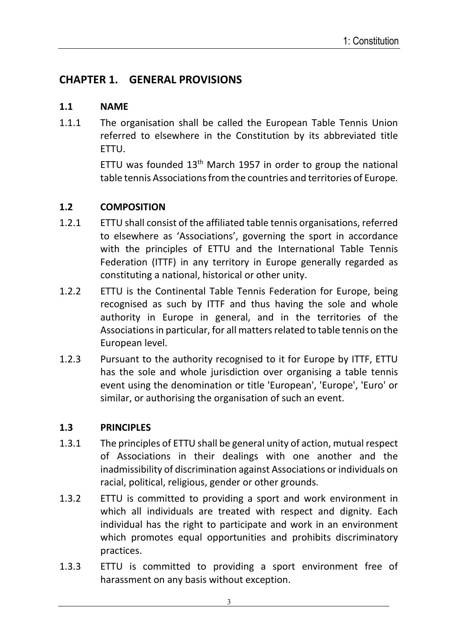# **CHAPTER 1. GENERAL PROVISIONS**

#### **1.1 NAME**

1.1.1 The organisation shall be called the European Table Tennis Union referred to elsewhere in the Constitution by its abbreviated title ETTU.

> ETTU was founded  $13<sup>th</sup>$  March 1957 in order to group the national table tennis Associations from the countries and territories of Europe.

### **1.2 COMPOSITION**

- 1.2.1 ETTU shall consist of the affiliated table tennis organisations, referred to elsewhere as 'Associations', governing the sport in accordance with the principles of ETTU and the International Table Tennis Federation (ITTF) in any territory in Europe generally regarded as constituting a national, historical or other unity.
- 1.2.2 ETTU is the Continental Table Tennis Federation for Europe, being recognised as such by ITTF and thus having the sole and whole authority in Europe in general, and in the territories of the Associationsin particular, for all matters related to table tennis on the European level.
- 1.2.3 Pursuant to the authority recognised to it for Europe by ITTF, ETTU has the sole and whole jurisdiction over organising a table tennis event using the denomination or title 'European', 'Europe', 'Euro' or similar, or authorising the organisation of such an event.

### **1.3 PRINCIPLES**

- 1.3.1 The principles of ETTU shall be general unity of action, mutual respect of Associations in their dealings with one another and the inadmissibility of discrimination against Associations or individuals on racial, political, religious, gender or other grounds.
- 1.3.2 ETTU is committed to providing a sport and work environment in which all individuals are treated with respect and dignity. Each individual has the right to participate and work in an environment which promotes equal opportunities and prohibits discriminatory practices.
- 1.3.3 ETTU is committed to providing a sport environment free of harassment on any basis without exception.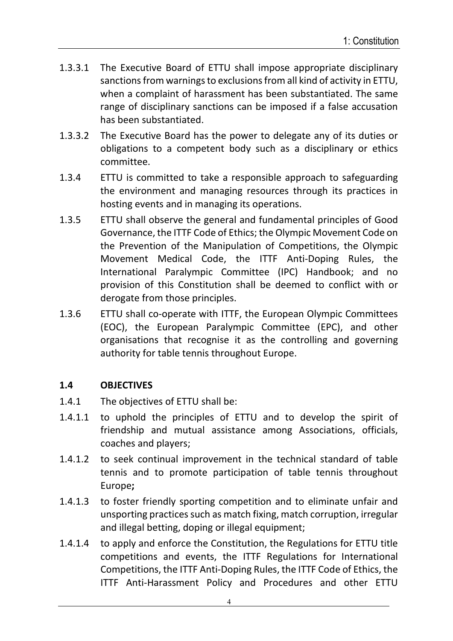- 1.3.3.1 The Executive Board of ETTU shall impose appropriate disciplinary sanctions from warnings to exclusions from all kind of activity in ETTU, when a complaint of harassment has been substantiated. The same range of disciplinary sanctions can be imposed if a false accusation has been substantiated.
- 1.3.3.2 The Executive Board has the power to delegate any of its duties or obligations to a competent body such as a disciplinary or ethics committee.
- 1.3.4 ETTU is committed to take a responsible approach to safeguarding the environment and managing resources through its practices in hosting events and in managing its operations.
- 1.3.5 ETTU shall observe the general and fundamental principles of Good Governance, the ITTF Code of Ethics; the Olympic Movement Code on the Prevention of the Manipulation of Competitions, the Olympic Movement Medical Code, the ITTF Anti-Doping Rules, the International Paralympic Committee (IPC) Handbook; and no provision of this Constitution shall be deemed to conflict with or derogate from those principles.
- 1.3.6 ETTU shall co-operate with ITTF, the European Olympic Committees (EOC), the European Paralympic Committee (EPC), and other organisations that recognise it as the controlling and governing authority for table tennis throughout Europe.

### **1.4 OBJECTIVES**

- 1.4.1 The objectives of ETTU shall be:
- 1.4.1.1 to uphold the principles of ETTU and to develop the spirit of friendship and mutual assistance among Associations, officials, coaches and players;
- 1.4.1.2 to seek continual improvement in the technical standard of table tennis and to promote participation of table tennis throughout Europe**;**
- 1.4.1.3 to foster friendly sporting competition and to eliminate unfair and unsporting practices such as match fixing, match corruption, irregular and illegal betting, doping or illegal equipment;
- 1.4.1.4 to apply and enforce the Constitution, the Regulations for ETTU title competitions and events, the ITTF Regulations for International Competitions, the ITTF Anti-Doping Rules, the ITTF Code of Ethics, the ITTF Anti-Harassment Policy and Procedures and other ETTU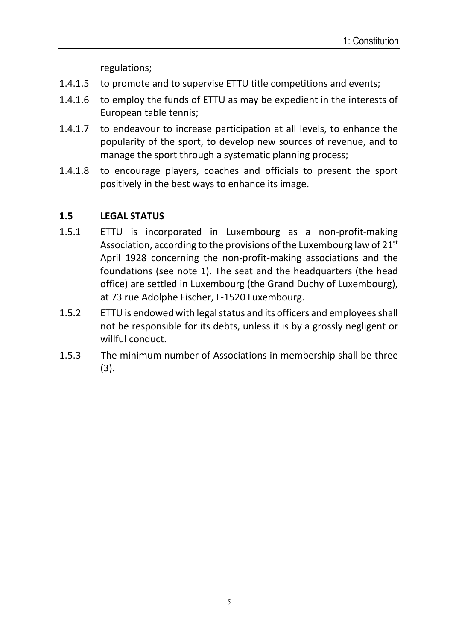regulations;

- 1.4.1.5 to promote and to supervise ETTU title competitions and events;
- 1.4.1.6 to employ the funds of ETTU as may be expedient in the interests of European table tennis;
- 1.4.1.7 to endeavour to increase participation at all levels, to enhance the popularity of the sport, to develop new sources of revenue, and to manage the sport through a systematic planning process;
- 1.4.1.8 to encourage players, coaches and officials to present the sport positively in the best ways to enhance its image.

### **1.5 LEGAL STATUS**

- 1.5.1 ETTU is incorporated in Luxembourg as a non-profit-making Association, according to the provisions of the Luxembourg law of  $21<sup>st</sup>$ April 1928 concerning the non-profit-making associations and the foundations (see note 1). The seat and the headquarters (the head office) are settled in Luxembourg (the Grand Duchy of Luxembourg), at 73 rue Adolphe Fischer, L-1520 Luxembourg.
- 1.5.2 ETTU is endowed with legal status and its officers and employees shall not be responsible for its debts, unless it is by a grossly negligent or willful conduct.
- 1.5.3 The minimum number of Associations in membership shall be three (3).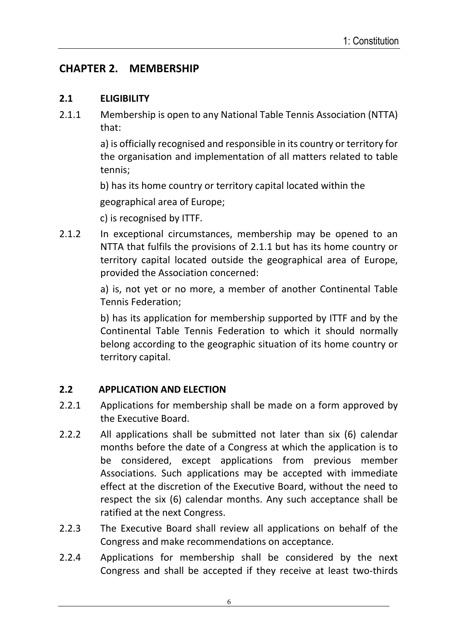# **CHAPTER 2. MEMBERSHIP**

### **2.1 ELIGIBILITY**

2.1.1 Membership is open to any National Table Tennis Association (NTTA) that:

> a) is officially recognised and responsible in its country or territory for the organisation and implementation of all matters related to table tennis;

b) has its home country or territory capital located within the

geographical area of Europe;

c) is recognised by ITTF.

2.1.2 In exceptional circumstances, membership may be opened to an NTTA that fulfils the provisions of 2.1.1 but has its home country or territory capital located outside the geographical area of Europe, provided the Association concerned:

> a) is, not yet or no more, a member of another Continental Table Tennis Federation;

> b) has its application for membership supported by ITTF and by the Continental Table Tennis Federation to which it should normally belong according to the geographic situation of its home country or territory capital.

### **2.2 APPLICATION AND ELECTION**

- 2.2.1 Applications for membership shall be made on a form approved by the Executive Board.
- 2.2.2 All applications shall be submitted not later than six (6) calendar months before the date of a Congress at which the application is to be considered, except applications from previous member Associations. Such applications may be accepted with immediate effect at the discretion of the Executive Board, without the need to respect the six (6) calendar months. Any such acceptance shall be ratified at the next Congress.
- 2.2.3 The Executive Board shall review all applications on behalf of the Congress and make recommendations on acceptance.
- 2.2.4 Applications for membership shall be considered by the next Congress and shall be accepted if they receive at least two-thirds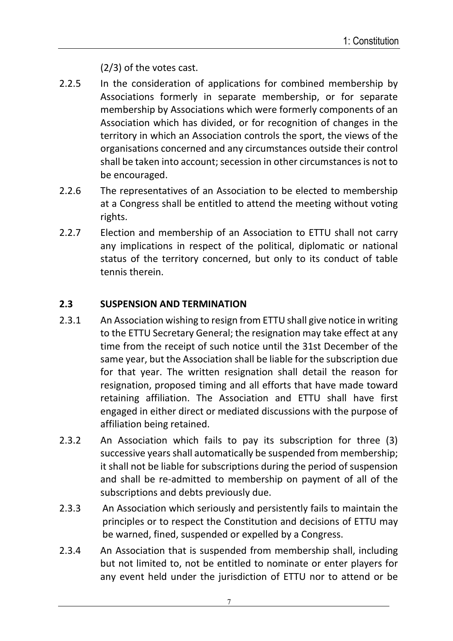(2/3) of the votes cast.

- 2.2.5 In the consideration of applications for combined membership by Associations formerly in separate membership, or for separate membership by Associations which were formerly components of an Association which has divided, or for recognition of changes in the territory in which an Association controls the sport, the views of the organisations concerned and any circumstances outside their control shall be taken into account; secession in other circumstances is not to be encouraged.
- 2.2.6 The representatives of an Association to be elected to membership at a Congress shall be entitled to attend the meeting without voting rights.
- 2.2.7 Election and membership of an Association to ETTU shall not carry any implications in respect of the political, diplomatic or national status of the territory concerned, but only to its conduct of table tennis therein.

### **2.3 SUSPENSION AND TERMINATION**

- 2.3.1 An Association wishing to resign from ETTU shall give notice in writing to the ETTU Secretary General; the resignation may take effect at any time from the receipt of such notice until the 31st December of the same year, but the Association shall be liable for the subscription due for that year. The written resignation shall detail the reason for resignation, proposed timing and all efforts that have made toward retaining affiliation. The Association and ETTU shall have first engaged in either direct or mediated discussions with the purpose of affiliation being retained.
- 2.3.2 An Association which fails to pay its subscription for three (3) successive years shall automatically be suspended from membership; it shall not be liable for subscriptions during the period of suspension and shall be re-admitted to membership on payment of all of the subscriptions and debts previously due.
- 2.3.3 An Association which seriously and persistently fails to maintain the principles or to respect the Constitution and decisions of ETTU may be warned, fined, suspended or expelled by a Congress.
- 2.3.4 An Association that is suspended from membership shall, including but not limited to, not be entitled to nominate or enter players for any event held under the jurisdiction of ETTU nor to attend or be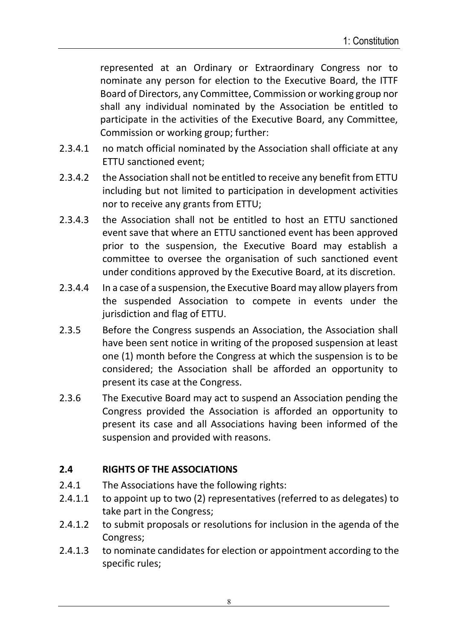represented at an Ordinary or Extraordinary Congress nor to nominate any person for election to the Executive Board, the ITTF Board of Directors, any Committee, Commission or working group nor shall any individual nominated by the Association be entitled to participate in the activities of the Executive Board, any Committee, Commission or working group; further:

- 2.3.4.1 no match official nominated by the Association shall officiate at any ETTU sanctioned event;
- 2.3.4.2 the Association shall not be entitled to receive any benefit from ETTU including but not limited to participation in development activities nor to receive any grants from ETTU;
- 2.3.4.3 the Association shall not be entitled to host an ETTU sanctioned event save that where an ETTU sanctioned event has been approved prior to the suspension, the Executive Board may establish a committee to oversee the organisation of such sanctioned event under conditions approved by the Executive Board, at its discretion.
- 2.3.4.4 In a case of a suspension, the Executive Board may allow players from the suspended Association to compete in events under the jurisdiction and flag of ETTU.
- 2.3.5 Before the Congress suspends an Association, the Association shall have been sent notice in writing of the proposed suspension at least one (1) month before the Congress at which the suspension is to be considered; the Association shall be afforded an opportunity to present its case at the Congress.
- 2.3.6 The Executive Board may act to suspend an Association pending the Congress provided the Association is afforded an opportunity to present its case and all Associations having been informed of the suspension and provided with reasons.

### **2.4 RIGHTS OF THE ASSOCIATIONS**

- 2.4.1 The Associations have the following rights:
- 2.4.1.1 to appoint up to two (2) representatives (referred to as delegates) to take part in the Congress;
- 2.4.1.2 to submit proposals or resolutions for inclusion in the agenda of the Congress;
- 2.4.1.3 to nominate candidates for election or appointment according to the specific rules;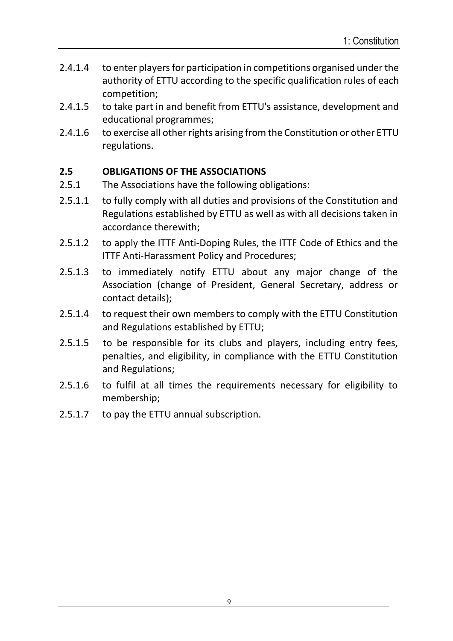- 2.4.1.4 to enter players for participation in competitions organised under the authority of ETTU according to the specific qualification rules of each competition;
- 2.4.1.5 to take part in and benefit from ETTU's assistance, development and educational programmes;
- 2.4.1.6 to exercise all other rights arising from the Constitution or other ETTU regulations.

### **2.5 OBLIGATIONS OF THE ASSOCIATIONS**

- 2.5.1 The Associations have the following obligations:
- 2.5.1.1 to fully comply with all duties and provisions of the Constitution and Regulations established by ETTU as well as with all decisions taken in accordance therewith;
- 2.5.1.2 to apply the ITTF Anti-Doping Rules, the ITTF Code of Ethics and the ITTF Anti-Harassment Policy and Procedures;
- 2.5.1.3 to immediately notify ETTU about any major change of the Association (change of President, General Secretary, address or contact details);
- 2.5.1.4 to request their own members to comply with the ETTU Constitution and Regulations established by ETTU;
- 2.5.1.5 to be responsible for its clubs and players, including entry fees, penalties, and eligibility, in compliance with the ETTU Constitution and Regulations;
- 2.5.1.6 to fulfil at all times the requirements necessary for eligibility to membership;
- 2.5.1.7 to pay the ETTU annual subscription.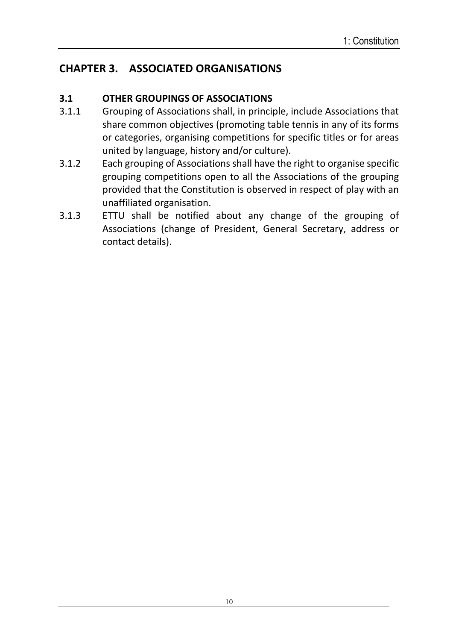# **CHAPTER 3. ASSOCIATED ORGANISATIONS**

### **3.1 OTHER GROUPINGS OF ASSOCIATIONS**

- 3.1.1 Grouping of Associations shall, in principle, include Associations that share common objectives (promoting table tennis in any of its forms or categories, organising competitions for specific titles or for areas united by language, history and/or culture).
- 3.1.2 Each grouping of Associations shall have the right to organise specific grouping competitions open to all the Associations of the grouping provided that the Constitution is observed in respect of play with an unaffiliated organisation.
- 3.1.3 ETTU shall be notified about any change of the grouping of Associations (change of President, General Secretary, address or contact details).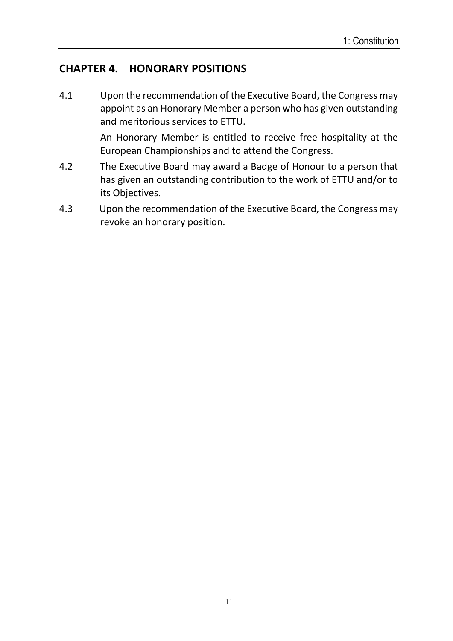# **CHAPTER 4. HONORARY POSITIONS**

4.1 Upon the recommendation of the Executive Board, the Congress may appoint as an Honorary Member a person who has given outstanding and meritorious services to ETTU.

> An Honorary Member is entitled to receive free hospitality at the European Championships and to attend the Congress.

- 4.2 The Executive Board may award a Badge of Honour to a person that has given an outstanding contribution to the work of ETTU and/or to its Objectives.
- 4.3Upon the recommendation of the Executive Board, the Congress may revoke an honorary position.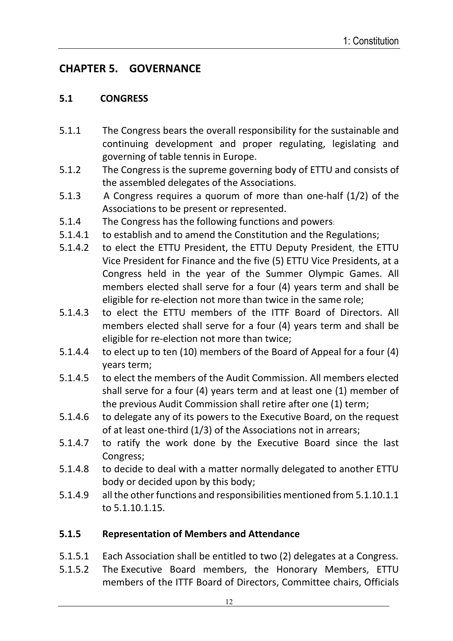# **CHAPTER 5. GOVERNANCE**

### **5.1 CONGRESS**

- 5.1.1 The Congress bears the overall responsibility for the sustainable and continuing development and proper regulating, legislating and governing of table tennis in Europe.
- 5.1.2The Congress is the supreme governing body of ETTU and consists of the assembled delegates of the Associations.
- 5.1.3 A Congress requires a quorum of more than one-half (1/2) of the Associations to be present or represented.
- 5.1.4 The Congress has the following functions and powers:
- 5.1.4.1 to establish and to amend the Constitution and the Regulations;
- 5.1.4.2 to elect the ETTU President, the ETTU Deputy President, the ETTU Vice President for Finance and the five (5) ETTU Vice Presidents, at a Congress held in the year of the Summer Olympic Games. All members elected shall serve for a four (4) years term and shall be eligible for re-election not more than twice in the same role;
- 5.1.4.3 to elect the ETTU members of the ITTF Board of Directors. All members elected shall serve for a four (4) years term and shall be eligible for re-election not more than twice;
- 5.1.4.4 to elect up to ten (10) members of the Board of Appeal for a four (4) years term;
- 5.1.4.5 to elect the members of the Audit Commission. All members elected shall serve for a four (4) years term and at least one (1) member of the previous Audit Commission shall retire after one (1) term;
- 5.1.4.6 to delegate any of its powers to the Executive Board, on the request of at least one-third (1/3) of the Associations not in arrears;
- 5.1.4.7 to ratify the work done by the Executive Board since the last Congress;
- 5.1.4.8 to decide to deal with a matter normally delegated to another ETTU body or decided upon by this body;
- 5.1.4.9 all the other functions and responsibilities mentioned from 5.1.10.1.1 to 5.1.10.1.15.

## **5.1.5 Representation of Members and Attendance**

- 5.1.5.1 Each Association shall be entitled to two (2) delegates at a Congress.
- 5.1.5.2 The Executive Board members, the Honorary Members, ETTU members of the ITTF Board of Directors, Committee chairs, Officials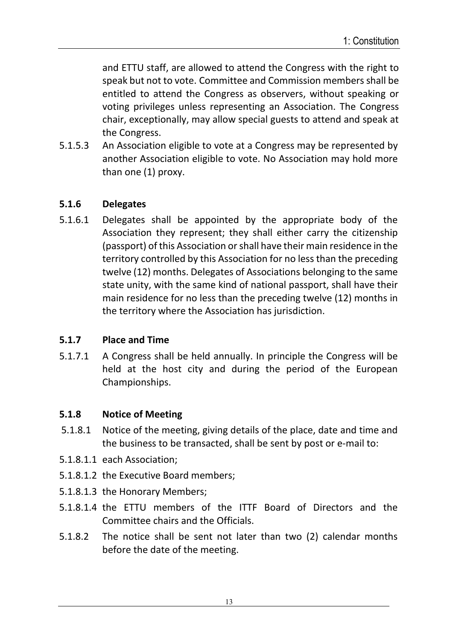and ETTU staff, are allowed to attend the Congress with the right to speak but not to vote. Committee and Commission members shall be entitled to attend the Congress as observers, without speaking or voting privileges unless representing an Association. The Congress chair, exceptionally, may allow special guests to attend and speak at the Congress.

5.1.5.3 An Association eligible to vote at a Congress may be represented by another Association eligible to vote. No Association may hold more than one (1) proxy.

#### **5.1.6 Delegates**

5.1.6.1 Delegates shall be appointed by the appropriate body of the Association they represent; they shall either carry the citizenship (passport) of this Association orshall have their main residence in the territory controlled by this Association for no less than the preceding twelve (12) months. Delegates of Associations belonging to the same state unity, with the same kind of national passport, shall have their main residence for no less than the preceding twelve (12) months in the territory where the Association has jurisdiction.

#### **5.1.7 Place and Time**

5.1.7.1 A Congress shall be held annually. In principle the Congress will be held at the host city and during the period of the European Championships.

#### **5.1.8 Notice of Meeting**

- 5.1.8.1 Notice of the meeting, giving details of the place, date and time and the business to be transacted, shall be sent by post or e-mail to:
- 5.1.8.1.1 each Association;
- 5.1.8.1.2 the Executive Board members;
- 5.1.8.1.3 the Honorary Members;
- 5.1.8.1.4 the ETTU members of the ITTF Board of Directors and the Committee chairs and the Officials.
- 5.1.8.2 The notice shall be sent not later than two (2) calendar months before the date of the meeting.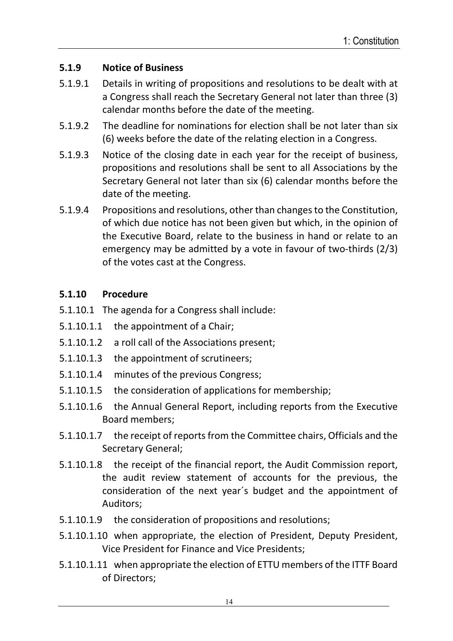### **5.1.9 Notice of Business**

- 5.1.9.1 Details in writing of propositions and resolutions to be dealt with at a Congress shall reach the Secretary General not later than three (3) calendar months before the date of the meeting.
- 5.1.9.2 The deadline for nominations for election shall be not later than six (6) weeks before the date of the relating election in a Congress.
- 5.1.9.3 Notice of the closing date in each year for the receipt of business, propositions and resolutions shall be sent to all Associations by the Secretary General not later than six (6) calendar months before the date of the meeting.
- 5.1.9.4 Propositions and resolutions, other than changes to the Constitution, of which due notice has not been given but which, in the opinion of the Executive Board, relate to the business in hand or relate to an emergency may be admitted by a vote in favour of two-thirds (2/3) of the votes cast at the Congress.

### **5.1.10 Procedure**

- 5.1.10.1 The agenda for a Congress shall include:
- 5.1.10.1.1 the appointment of a Chair;
- 5.1.10.1.2 a roll call of the Associations present;
- 5.1.10.1.3 the appointment of scrutineers;
- 5.1.10.1.4 minutes of the previous Congress;
- 5.1.10.1.5 the consideration of applications for membership;
- 5.1.10.1.6 the Annual General Report, including reports from the Executive Board members;
- 5.1.10.1.7 the receipt of reports from the Committee chairs, Officials and the Secretary General;
- 5.1.10.1.8 the receipt of the financial report, the Audit Commission report, the audit review statement of accounts for the previous, the consideration of the next year´s budget and the appointment of Auditors;
- 5.1.10.1.9 the consideration of propositions and resolutions;
- 5.1.10.1.10 when appropriate, the election of President, Deputy President, Vice President for Finance and Vice Presidents;
- 5.1.10.1.11 when appropriate the election of ETTU members of the ITTF Board of Directors;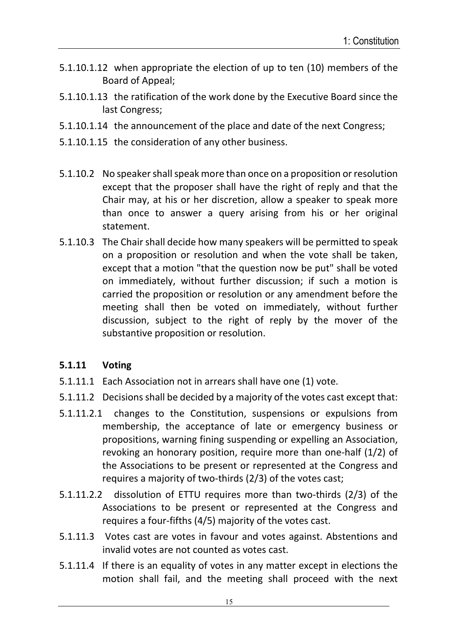- 5.1.10.1.12 when appropriate the election of up to ten (10) members of the Board of Appeal;
- 5.1.10.1.13 the ratification of the work done by the Executive Board since the last Congress;
- 5.1.10.1.14 the announcement of the place and date of the next Congress;
- 5.1.10.1.15 the consideration of any other business.
- 5.1.10.2 No speaker shall speak more than once on a proposition or resolution except that the proposer shall have the right of reply and that the Chair may, at his or her discretion, allow a speaker to speak more than once to answer a query arising from his or her original statement.
- 5.1.10.3 The Chair shall decide how many speakers will be permitted to speak on a proposition or resolution and when the vote shall be taken, except that a motion "that the question now be put" shall be voted on immediately, without further discussion; if such a motion is carried the proposition or resolution or any amendment before the meeting shall then be voted on immediately, without further discussion, subject to the right of reply by the mover of the substantive proposition or resolution.

### **5.1.11 Voting**

- 5.1.11.1 Each Association not in arrears shall have one (1) vote.
- 5.1.11.2 Decisions shall be decided by a majority of the votes cast except that:
- 5.1.11.2.1 changes to the Constitution, suspensions or expulsions from membership, the acceptance of late or emergency business or propositions, warning fining suspending or expelling an Association, revoking an honorary position, require more than one-half (1/2) of the Associations to be present or represented at the Congress and requires a majority of two-thirds (2/3) of the votes cast;
- 5.1.11.2.2 dissolution of ETTU requires more than two-thirds (2/3) of the Associations to be present or represented at the Congress and requires a four-fifths (4/5) majority of the votes cast.
- 5.1.11.3 Votes cast are votes in favour and votes against. Abstentions and invalid votes are not counted as votes cast.
- 5.1.11.4 If there is an equality of votes in any matter except in elections the motion shall fail, and the meeting shall proceed with the next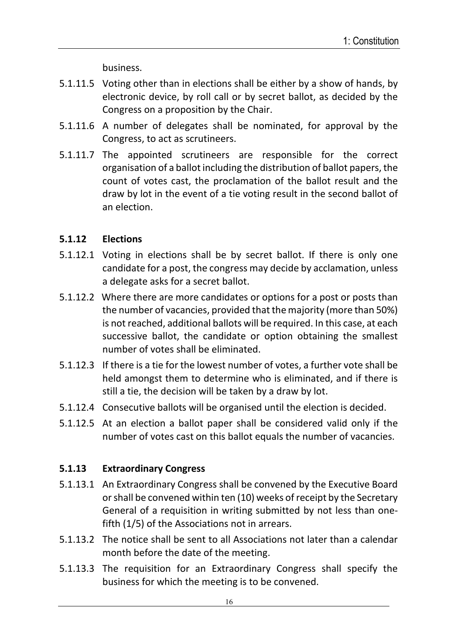business.

- 5.1.11.5 Voting other than in elections shall be either by a show of hands, by electronic device, by roll call or by secret ballot, as decided by the Congress on a proposition by the Chair.
- 5.1.11.6 A number of delegates shall be nominated, for approval by the Congress, to act as scrutineers.
- 5.1.11.7 The appointed scrutineers are responsible for the correct organisation of a ballot including the distribution of ballot papers, the count of votes cast, the proclamation of the ballot result and the draw by lot in the event of a tie voting result in the second ballot of an election.

### **5.1.12 Elections**

- 5.1.12.1 Voting in elections shall be by secret ballot. If there is only one candidate for a post, the congress may decide by acclamation, unless a delegate asks for a secret ballot.
- 5.1.12.2 Where there are more candidates or options for a post or posts than the number of vacancies, provided that the majority (more than 50%) is not reached, additional ballots will be required. In this case, at each successive ballot, the candidate or option obtaining the smallest number of votes shall be eliminated.
- 5.1.12.3 If there is a tie for the lowest number of votes, a further vote shall be held amongst them to determine who is eliminated, and if there is still a tie, the decision will be taken by a draw by lot.
- 5.1.12.4 Consecutive ballots will be organised until the election is decided.
- 5.1.12.5 At an election a ballot paper shall be considered valid only if the number of votes cast on this ballot equals the number of vacancies.

## **5.1.13 Extraordinary Congress**

- 5.1.13.1 An Extraordinary Congress shall be convened by the Executive Board or shall be convened within ten (10) weeks of receipt by the Secretary General of a requisition in writing submitted by not less than onefifth (1/5) of the Associations not in arrears.
- 5.1.13.2 The notice shall be sent to all Associations not later than a calendar month before the date of the meeting.
- 5.1.13.3 The requisition for an Extraordinary Congress shall specify the business for which the meeting is to be convened.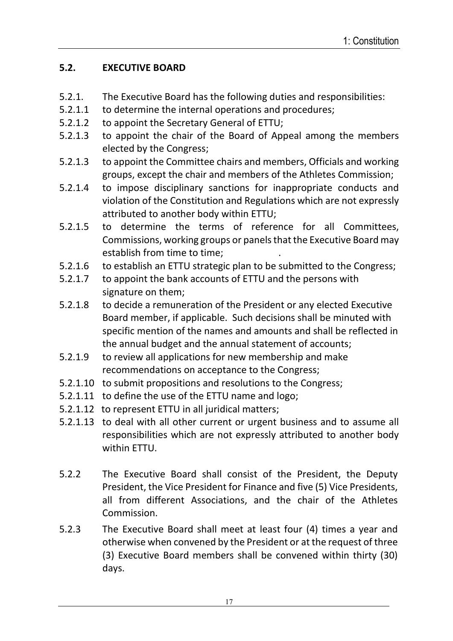### **5.2. EXECUTIVE BOARD**

- 5.2.1. The Executive Board has the following duties and responsibilities:
- 5.2.1.1 to determine the internal operations and procedures;
- 5.2.1.2 to appoint the Secretary General of ETTU;
- 5.2.1.3 to appoint the chair of the Board of Appeal among the members elected by the Congress;
- 5.2.1.3 to appoint the Committee chairs and members, Officials and working groups, except the chair and members of the Athletes Commission;
- 5.2.1.4 to impose disciplinary sanctions for inappropriate conducts and violation of the Constitution and Regulations which are not expressly attributed to another body within ETTU;
- 5.2.1.5 to determine the terms of reference for all Committees, Commissions, working groups or panels that the Executive Board may establish from time to time; .
- 5.2.1.6 to establish an ETTU strategic plan to be submitted to the Congress;
- 5.2.1.7 to appoint the bank accounts of ETTU and the persons with signature on them;
- 5.2.1.8 to decide a remuneration of the President or any elected Executive Board member, if applicable. Such decisions shall be minuted with specific mention of the names and amounts and shall be reflected in the annual budget and the annual statement of accounts;
- 5.2.1.9 to review all applications for new membership and make recommendations on acceptance to the Congress;
- 5.2.1.10 to submit propositions and resolutions to the Congress;
- 5.2.1.11 to define the use of the ETTU name and logo;
- 5.2.1.12 to represent ETTU in all juridical matters;
- 5.2.1.13 to deal with all other current or urgent business and to assume all responsibilities which are not expressly attributed to another body within ETTU.
- 5.2.2 The Executive Board shall consist of the President, the Deputy President, the Vice President for Finance and five (5) Vice Presidents, all from different Associations, and the chair of the Athletes Commission.
- 5.2.3 The Executive Board shall meet at least four (4) times a year and otherwise when convened by the President or at the request of three (3) Executive Board members shall be convened within thirty (30) days.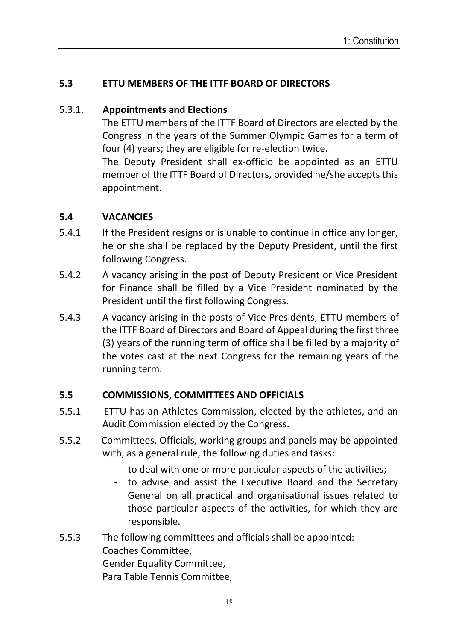### **5.3 ETTU MEMBERS OF THE ITTF BOARD OF DIRECTORS**

#### 5.3.1. **Appointments and Elections**

The ETTU members of the ITTF Board of Directors are elected by the Congress in the years of the Summer Olympic Games for a term of four (4) years; they are eligible for re-election twice.

The Deputy President shall ex-officio be appointed as an ETTU member of the ITTF Board of Directors, provided he/she accepts this appointment.

#### **5.4 VACANCIES**

- 5.4.1 If the President resigns or is unable to continue in office any longer, he or she shall be replaced by the Deputy President, until the first following Congress.
- 5.4.2 A vacancy arising in the post of Deputy President or Vice President for Finance shall be filled by a Vice President nominated by the President until the first following Congress.
- 5.4.3 A vacancy arising in the posts of Vice Presidents, ETTU members of the ITTF Board of Directors and Board of Appeal during the first three (3) years of the running term of office shall be filled by a majority of the votes cast at the next Congress for the remaining years of the running term.

### **5.5 COMMISSIONS, COMMITTEES AND OFFICIALS**

- 5.5.1ETTU has an Athletes Commission, elected by the athletes, and an Audit Commission elected by the Congress.
- 5.5.2Committees, Officials, working groups and panels may be appointed with, as a general rule, the following duties and tasks:
	- to deal with one or more particular aspects of the activities;
	- to advise and assist the Executive Board and the Secretary General on all practical and organisational issues related to those particular aspects of the activities, for which they are responsible.

### 5.5.3 The following committees and officials shall be appointed: Coaches Committee, Gender Equality Committee, Para Table Tennis Committee,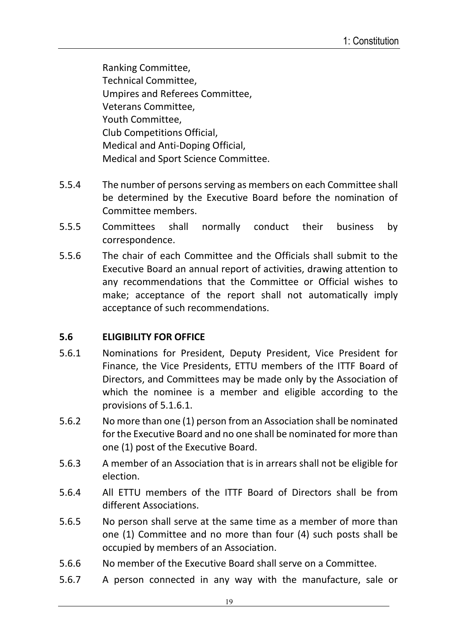Ranking Committee, Technical Committee, Umpires and Referees Committee, Veterans Committee, Youth Committee, Club Competitions Official, Medical and Anti-Doping Official, Medical and Sport Science Committee.

- 5.5.4 The number of persons serving as members on each Committee shall be determined by the Executive Board before the nomination of Committee members.
- 5.5.5 Committees shall normally conduct their business by correspondence.
- 5.5.6 The chair of each Committee and the Officials shall submit to the Executive Board an annual report of activities, drawing attention to any recommendations that the Committee or Official wishes to make; acceptance of the report shall not automatically imply acceptance of such recommendations.

### **5.6 ELIGIBILITY FOR OFFICE**

- 5.6.1 Nominations for President, Deputy President, Vice President for Finance, the Vice Presidents, ETTU members of the ITTF Board of Directors, and Committees may be made only by the Association of which the nominee is a member and eligible according to the provisions of 5.1.6.1.
- 5.6.2 No more than one (1) person from an Association shall be nominated for the Executive Board and no one shall be nominated for more than one (1) post of the Executive Board.
- 5.6.3 A member of an Association that is in arrears shall not be eligible for election.
- 5.6.4 All ETTU members of the ITTF Board of Directors shall be from different Associations.
- 5.6.5 No person shall serve at the same time as a member of more than one (1) Committee and no more than four (4) such posts shall be occupied by members of an Association.
- 5.6.6 No member of the Executive Board shall serve on a Committee.
- 5.6.7 A person connected in any way with the manufacture, sale or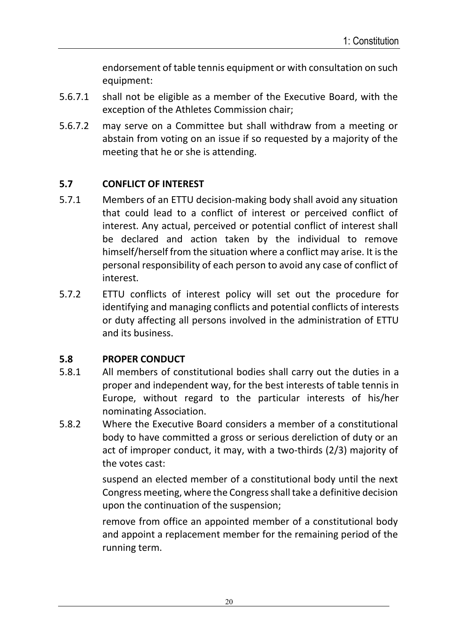endorsement of table tennis equipment or with consultation on such equipment:

- 5.6.7.1 shall not be eligible as a member of the Executive Board, with the exception of the Athletes Commission chair;
- 5.6.7.2 may serve on a Committee but shall withdraw from a meeting or abstain from voting on an issue if so requested by a majority of the meeting that he or she is attending.

### **5.7 CONFLICT OF INTEREST**

- 5.7.1 Members of an ETTU decision-making body shall avoid any situation that could lead to a conflict of interest or perceived conflict of interest. Any actual, perceived or potential conflict of interest shall be declared and action taken by the individual to remove himself/herself from the situation where a conflict may arise. It is the personal responsibility of each person to avoid any case of conflict of interest.
- 5.7.2 ETTU conflicts of interest policy will set out the procedure for identifying and managing conflicts and potential conflicts of interests or duty affecting all persons involved in the administration of ETTU and its business.

## **5.8 PROPER CONDUCT**

- 5.8.1 All members of constitutional bodies shall carry out the duties in a proper and independent way, for the best interests of table tennis in Europe, without regard to the particular interests of his/her nominating Association.
- 5.8.2 Where the Executive Board considers a member of a constitutional body to have committed a gross or serious dereliction of duty or an act of improper conduct, it may, with a two-thirds (2/3) majority of the votes cast:

suspend an elected member of a constitutional body until the next Congress meeting, where the Congress shall take a definitive decision upon the continuation of the suspension;

remove from office an appointed member of a constitutional body and appoint a replacement member for the remaining period of the running term.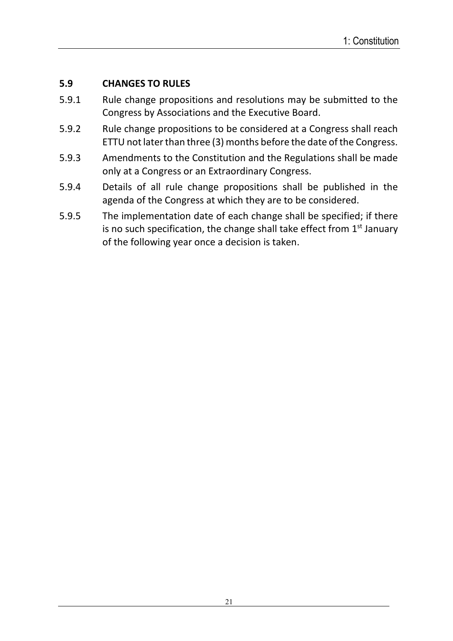### **5.9 CHANGES TO RULES**

- 5.9.1 Rule change propositions and resolutions may be submitted to the Congress by Associations and the Executive Board.
- 5.9.2 Rule change propositions to be considered at a Congress shall reach ETTU not later than three (3) months before the date of the Congress.
- 5.9.3 Amendments to the Constitution and the Regulations shall be made only at a Congress or an Extraordinary Congress.
- 5.9.4 Details of all rule change propositions shall be published in the agenda of the Congress at which they are to be considered.
- 5.9.5 The implementation date of each change shall be specified; if there is no such specification, the change shall take effect from  $1<sup>st</sup>$  January of the following year once a decision is taken.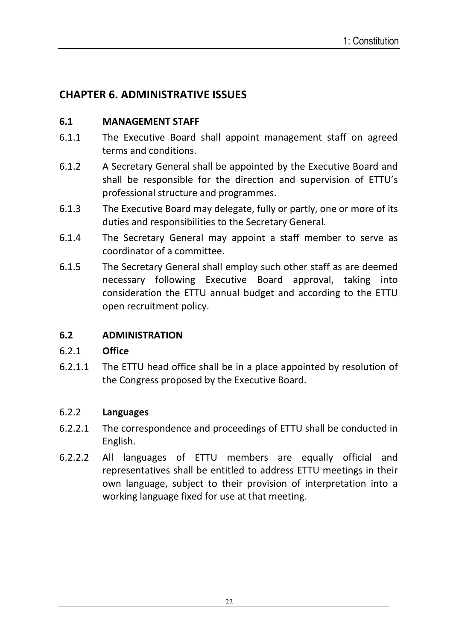# **CHAPTER 6. ADMINISTRATIVE ISSUES**

### **6.1 MANAGEMENT STAFF**

- 6.1.1 The Executive Board shall appoint management staff on agreed terms and conditions.
- 6.1.2 A Secretary General shall be appointed by the Executive Board and shall be responsible for the direction and supervision of ETTU's professional structure and programmes.
- 6.1.3 The Executive Board may delegate, fully or partly, one or more of its duties and responsibilities to the Secretary General.
- 6.1.4 The Secretary General may appoint a staff member to serve as coordinator of a committee.
- 6.1.5 The Secretary General shall employ such other staff as are deemed necessary following Executive Board approval, taking into consideration the ETTU annual budget and according to the ETTU open recruitment policy.

### **6.2 ADMINISTRATION**

### 6.2.1 **Office**

6.2.1.1 The ETTU head office shall be in a place appointed by resolution of the Congress proposed by the Executive Board.

#### 6.2.2 **Languages**

- 6.2.2.1 The correspondence and proceedings of ETTU shall be conducted in English.
- 6.2.2.2 All languages of ETTU members are equally official and representatives shall be entitled to address ETTU meetings in their own language, subject to their provision of interpretation into a working language fixed for use at that meeting.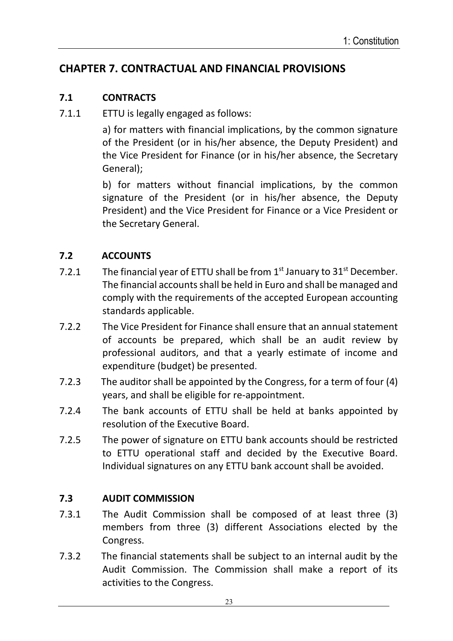# **CHAPTER 7. CONTRACTUAL AND FINANCIAL PROVISIONS**

#### **7.1 CONTRACTS**

7.1.1 ETTU is legally engaged as follows:

 a) for matters with financial implications, by the common signature of the President (or in his/her absence, the Deputy President) and the Vice President for Finance (or in his/her absence, the Secretary General);

 b) for matters without financial implications, by the common signature of the President (or in his/her absence, the Deputy President) and the Vice President for Finance or a Vice President or the Secretary General.

### **7.2 ACCOUNTS**

- 7.2.1 The financial year of ETTU shall be from  $1<sup>st</sup>$  January to  $31<sup>st</sup>$  December. The financial accounts shall be held in Euro and shall be managed and comply with the requirements of the accepted European accounting standards applicable.
- 7.2.2 The Vice President for Finance shall ensure that an annual statement of accounts be prepared, which shall be an audit review by professional auditors, and that a yearly estimate of income and expenditure (budget) be presented.
- 7.2.3 The auditor shall be appointed by the Congress, for a term of four (4) years, and shall be eligible for re-appointment.
- 7.2.4 The bank accounts of ETTU shall be held at banks appointed by resolution of the Executive Board.
- 7.2.5 The power of signature on ETTU bank accounts should be restricted to ETTU operational staff and decided by the Executive Board. Individual signatures on any ETTU bank account shall be avoided.

### **7.3 AUDIT COMMISSION**

- 7.3.1 The Audit Commission shall be composed of at least three (3) members from three (3) different Associations elected by the Congress.
- 7.3.2 The financial statements shall be subject to an internal audit by the Audit Commission. The Commission shall make a report of its activities to the Congress.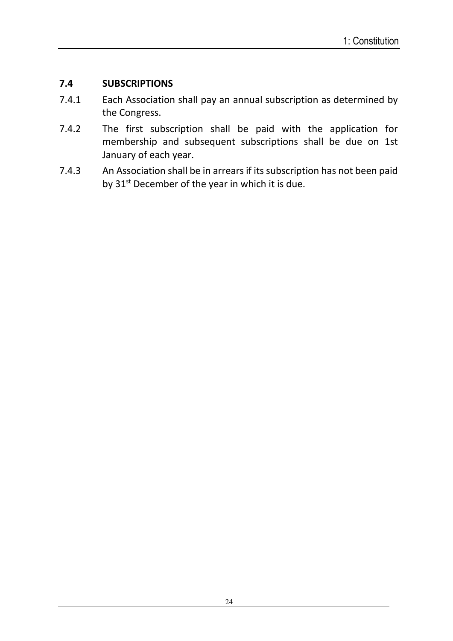### **7.4 SUBSCRIPTIONS**

- 7.4.1 Each Association shall pay an annual subscription as determined by the Congress.
- 7.4.2 The first subscription shall be paid with the application for membership and subsequent subscriptions shall be due on 1st January of each year.
- 7.4.3 An Association shall be in arrears if its subscription has not been paid by  $31<sup>st</sup>$  December of the year in which it is due.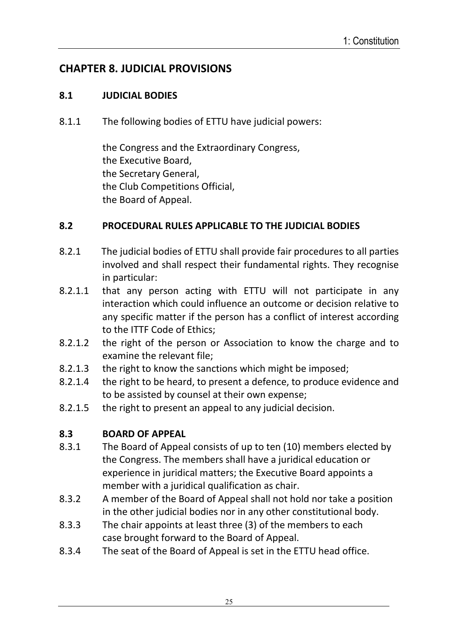# **CHAPTER 8. JUDICIAL PROVISIONS**

#### **8.1 JUDICIAL BODIES**

8.1.1 The following bodies of ETTU have judicial powers:

 the Congress and the Extraordinary Congress, the Executive Board, the Secretary General, the Club Competitions Official, the Board of Appeal.

#### **8.2 PROCEDURAL RULES APPLICABLE TO THE JUDICIAL BODIES**

- 8.2.1 The judicial bodies of ETTU shall provide fair procedures to all parties involved and shall respect their fundamental rights. They recognise in particular:
- 8.2.1.1 that any person acting with ETTU will not participate in any interaction which could influence an outcome or decision relative to any specific matter if the person has a conflict of interest according to the ITTF Code of Ethics;
- 8.2.1.2 the right of the person or Association to know the charge and to examine the relevant file;
- 8.2.1.3 the right to know the sanctions which might be imposed;
- 8.2.1.4 the right to be heard, to present a defence, to produce evidence and to be assisted by counsel at their own expense;
- 8.2.1.5 the right to present an appeal to any judicial decision.

### **8.3 BOARD OF APPEAL**

- 8.3.1 The Board of Appeal consists of up to ten (10) members elected by the Congress. The members shall have a juridical education or experience in juridical matters; the Executive Board appoints a member with a juridical qualification as chair.
- 8.3.2 A member of the Board of Appeal shall not hold nor take a position in the other judicial bodies nor in any other constitutional body.
- 8.3.3 The chair appoints at least three (3) of the members to each case brought forward to the Board of Appeal.
- 8.3.4 The seat of the Board of Appeal is set in the ETTU head office.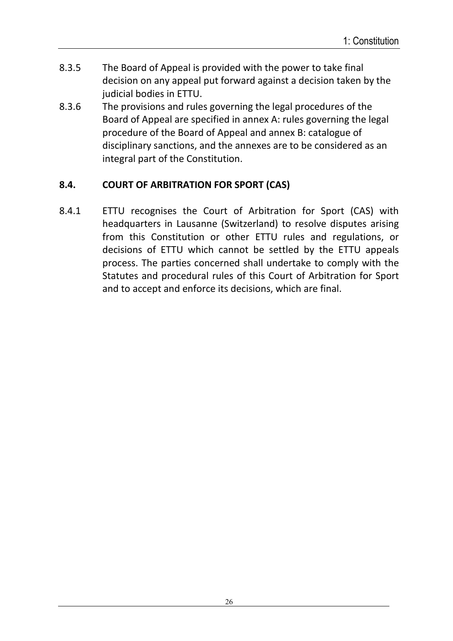- 8.3.5 The Board of Appeal is provided with the power to take final decision on any appeal put forward against a decision taken by the judicial bodies in ETTU.
- 8.3.6 The provisions and rules governing the legal procedures of the Board of Appeal are specified in annex A: rules governing the legal procedure of the Board of Appeal and annex B: catalogue of disciplinary sanctions, and the annexes are to be considered as an integral part of the Constitution.

## **8.4. COURT OF ARBITRATION FOR SPORT (CAS)**

8.4.1 ETTU recognises the Court of Arbitration for Sport (CAS) with headquarters in Lausanne (Switzerland) to resolve disputes arising from this Constitution or other ETTU rules and regulations, or decisions of ETTU which cannot be settled by the ETTU appeals process. The parties concerned shall undertake to comply with the Statutes and procedural rules of this Court of Arbitration for Sport and to accept and enforce its decisions, which are final.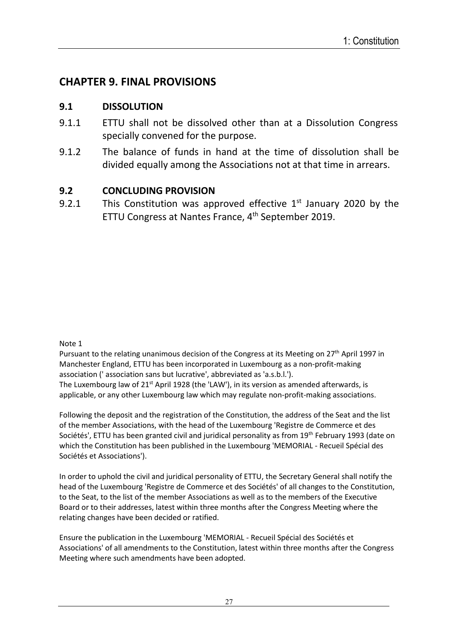## **CHAPTER 9. FINAL PROVISIONS**

#### **9.1 DISSOLUTION**

- 9.1.1 ETTU shall not be dissolved other than at a Dissolution Congress specially convened for the purpose.
- 9.1.2 The balance of funds in hand at the time of dissolution shall be divided equally among the Associations not at that time in arrears.

#### **9.2 CONCLUDING PROVISION**

9.2.1 This Constitution was approved effective  $1<sup>st</sup>$  January 2020 by the ETTU Congress at Nantes France, 4<sup>th</sup> September 2019.

#### Note 1

Pursuant to the relating unanimous decision of the Congress at its Meeting on 27<sup>th</sup> April 1997 in Manchester England, ETTU has been incorporated in Luxembourg as a non-profit-making association (' association sans but lucrative', abbreviated as 'a.s.b.l.'). The Luxembourg law of 21<sup>st</sup> April 1928 (the 'LAW'), in its version as amended afterwards, is applicable, or any other Luxembourg law which may regulate non-profit-making associations.

Following the deposit and the registration of the Constitution, the address of the Seat and the list of the member Associations, with the head of the Luxembourg 'Registre de Commerce et des Sociétés', ETTU has been granted civil and juridical personality as from 19<sup>th</sup> February 1993 (date on which the Constitution has been published in the Luxembourg 'MEMORIAL - Recueil Spécial des Sociétés et Associations').

In order to uphold the civil and juridical personality of ETTU, the Secretary General shall notify the head of the Luxembourg 'Registre de Commerce et des Sociétés' of all changes to the Constitution, to the Seat, to the list of the member Associations as well as to the members of the Executive Board or to their addresses, latest within three months after the Congress Meeting where the relating changes have been decided or ratified.

Ensure the publication in the Luxembourg 'MEMORIAL - Recueil Spécial des Sociétés et Associations' of all amendments to the Constitution, latest within three months after the Congress Meeting where such amendments have been adopted.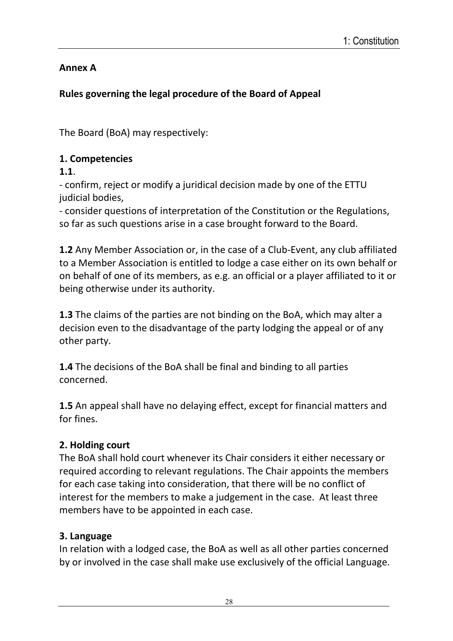## **Annex A**

# **Rules governing the legal procedure of the Board of Appeal**

The Board (BoA) may respectively:

## **1. Competencies**

**1.1**.

- confirm, reject or modify a juridical decision made by one of the ETTU judicial bodies.

- consider questions of interpretation of the Constitution or the Regulations, so far as such questions arise in a case brought forward to the Board.

**1.2** Any Member Association or, in the case of a Club-Event, any club affiliated to a Member Association is entitled to lodge a case either on its own behalf or on behalf of one of its members, as e.g. an official or a player affiliated to it or being otherwise under its authority.

**1.3** The claims of the parties are not binding on the BoA, which may alter a decision even to the disadvantage of the party lodging the appeal or of any other party.

**1.4** The decisions of the BoA shall be final and binding to all parties concerned.

**1.5** An appeal shall have no delaying effect, except for financial matters and for fines.

# **2. Holding court**

The BoA shall hold court whenever its Chair considers it either necessary or required according to relevant regulations. The Chair appoints the members for each case taking into consideration, that there will be no conflict of interest for the members to make a judgement in the case. At least three members have to be appointed in each case.

## **3. Language**

In relation with a lodged case, the BoA as well as all other parties concerned by or involved in the case shall make use exclusively of the official Language.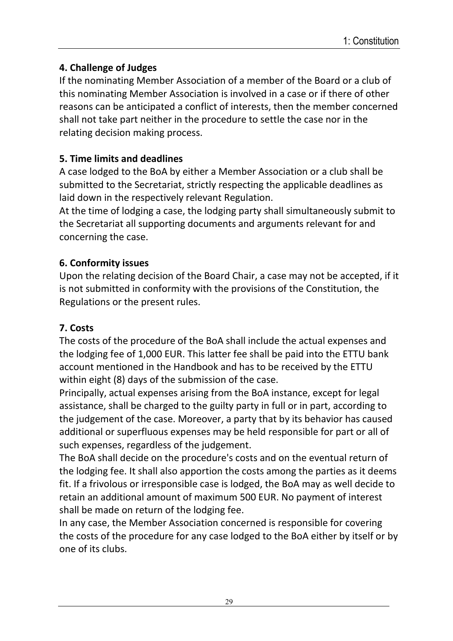## **4. Challenge of Judges**

If the nominating Member Association of a member of the Board or a club of this nominating Member Association is involved in a case or if there of other reasons can be anticipated a conflict of interests, then the member concerned shall not take part neither in the procedure to settle the case nor in the relating decision making process.

### **5. Time limits and deadlines**

A case lodged to the BoA by either a Member Association or a club shall be submitted to the Secretariat, strictly respecting the applicable deadlines as laid down in the respectively relevant Regulation.

At the time of lodging a case, the lodging party shall simultaneously submit to the Secretariat all supporting documents and arguments relevant for and concerning the case.

### **6. Conformity issues**

Upon the relating decision of the Board Chair, a case may not be accepted, if it is not submitted in conformity with the provisions of the Constitution, the Regulations or the present rules.

## **7. Costs**

The costs of the procedure of the BoA shall include the actual expenses and the lodging fee of 1,000 EUR. This latter fee shall be paid into the ETTU bank account mentioned in the Handbook and has to be received by the ETTU within eight (8) days of the submission of the case.

Principally, actual expenses arising from the BoA instance, except for legal assistance, shall be charged to the guilty party in full or in part, according to the judgement of the case. Moreover, a party that by its behavior has caused additional or superfluous expenses may be held responsible for part or all of such expenses, regardless of the judgement.

The BoA shall decide on the procedure's costs and on the eventual return of the lodging fee. It shall also apportion the costs among the parties as it deems fit. If a frivolous or irresponsible case is lodged, the BoA may as well decide to retain an additional amount of maximum 500 EUR. No payment of interest shall be made on return of the lodging fee.

In any case, the Member Association concerned is responsible for covering the costs of the procedure for any case lodged to the BoA either by itself or by one of its clubs.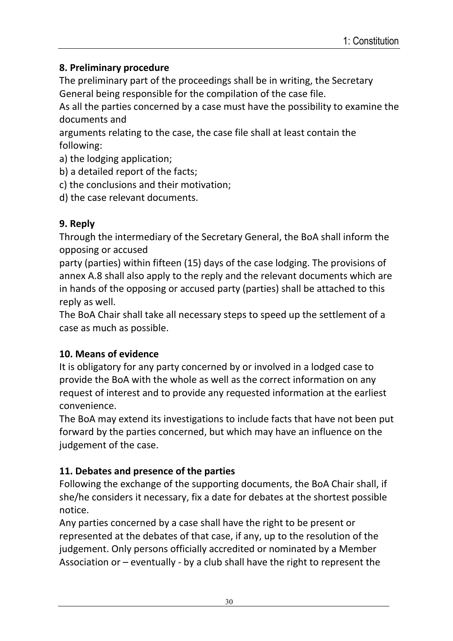## **8. Preliminary procedure**

The preliminary part of the proceedings shall be in writing, the Secretary General being responsible for the compilation of the case file.

As all the parties concerned by a case must have the possibility to examine the documents and

arguments relating to the case, the case file shall at least contain the following:

a) the lodging application;

- b) a detailed report of the facts;
- c) the conclusions and their motivation;

d) the case relevant documents.

# **9. Reply**

Through the intermediary of the Secretary General, the BoA shall inform the opposing or accused

party (parties) within fifteen (15) days of the case lodging. The provisions of annex A.8 shall also apply to the reply and the relevant documents which are in hands of the opposing or accused party (parties) shall be attached to this reply as well.

The BoA Chair shall take all necessary steps to speed up the settlement of a case as much as possible.

# **10. Means of evidence**

It is obligatory for any party concerned by or involved in a lodged case to provide the BoA with the whole as well as the correct information on any request of interest and to provide any requested information at the earliest convenience.

The BoA may extend its investigations to include facts that have not been put forward by the parties concerned, but which may have an influence on the judgement of the case.

# **11. Debates and presence of the parties**

Following the exchange of the supporting documents, the BoA Chair shall, if she/he considers it necessary, fix a date for debates at the shortest possible notice.

Any parties concerned by a case shall have the right to be present or represented at the debates of that case, if any, up to the resolution of the judgement. Only persons officially accredited or nominated by a Member Association or – eventually - by a club shall have the right to represent the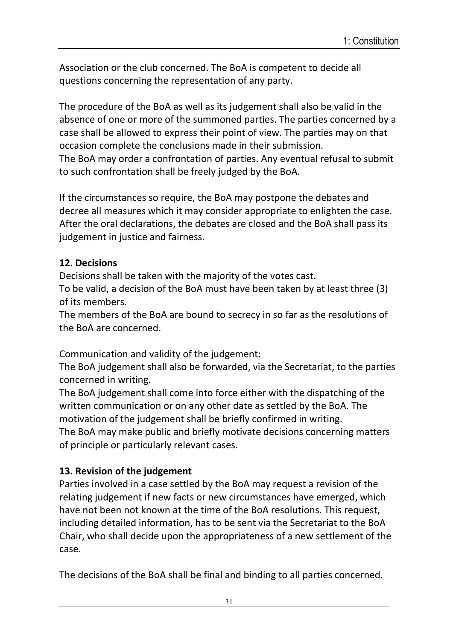Association or the club concerned. The BoA is competent to decide all questions concerning the representation of any party.

The procedure of the BoA as well as its judgement shall also be valid in the absence of one or more of the summoned parties. The parties concerned by a case shall be allowed to express their point of view. The parties may on that occasion complete the conclusions made in their submission. The BoA may order a confrontation of parties. Any eventual refusal to submit to such confrontation shall be freely judged by the BoA.

If the circumstances so require, the BoA may postpone the debates and decree all measures which it may consider appropriate to enlighten the case. After the oral declarations, the debates are closed and the BoA shall pass its judgement in justice and fairness.

### **12. Decisions**

Decisions shall be taken with the majority of the votes cast.

To be valid, a decision of the BoA must have been taken by at least three (3) of its members.

The members of the BoA are bound to secrecy in so far as the resolutions of the BoA are concerned.

Communication and validity of the judgement:

The BoA judgement shall also be forwarded, via the Secretariat, to the parties concerned in writing.

The BoA judgement shall come into force either with the dispatching of the written communication or on any other date as settled by the BoA. The motivation of the judgement shall be briefly confirmed in writing.

The BoA may make public and briefly motivate decisions concerning matters of principle or particularly relevant cases.

## **13. Revision of the judgement**

Parties involved in a case settled by the BoA may request a revision of the relating judgement if new facts or new circumstances have emerged, which have not been not known at the time of the BoA resolutions. This request, including detailed information, has to be sent via the Secretariat to the BoA Chair, who shall decide upon the appropriateness of a new settlement of the case.

The decisions of the BoA shall be final and binding to all parties concerned.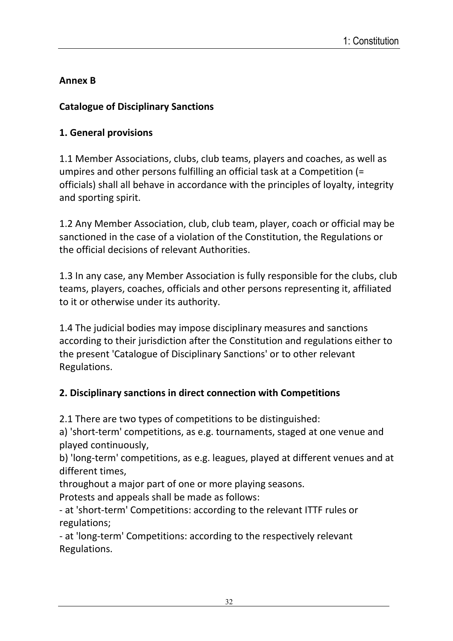# **Annex B**

## **Catalogue of Disciplinary Sanctions**

# **1. General provisions**

1.1 Member Associations, clubs, club teams, players and coaches, as well as umpires and other persons fulfilling an official task at a Competition (= officials) shall all behave in accordance with the principles of loyalty, integrity and sporting spirit.

1.2 Any Member Association, club, club team, player, coach or official may be sanctioned in the case of a violation of the Constitution, the Regulations or the official decisions of relevant Authorities.

1.3 In any case, any Member Association is fully responsible for the clubs, club teams, players, coaches, officials and other persons representing it, affiliated to it or otherwise under its authority.

1.4 The judicial bodies may impose disciplinary measures and sanctions according to their jurisdiction after the Constitution and regulations either to the present 'Catalogue of Disciplinary Sanctions' or to other relevant Regulations.

# **2. Disciplinary sanctions in direct connection with Competitions**

2.1 There are two types of competitions to be distinguished:

a) 'short-term' competitions, as e.g. tournaments, staged at one venue and played continuously,

b) 'long-term' competitions, as e.g. leagues, played at different venues and at different times,

throughout a major part of one or more playing seasons.

Protests and appeals shall be made as follows:

- at 'short-term' Competitions: according to the relevant ITTF rules or regulations;

- at 'long-term' Competitions: according to the respectively relevant Regulations.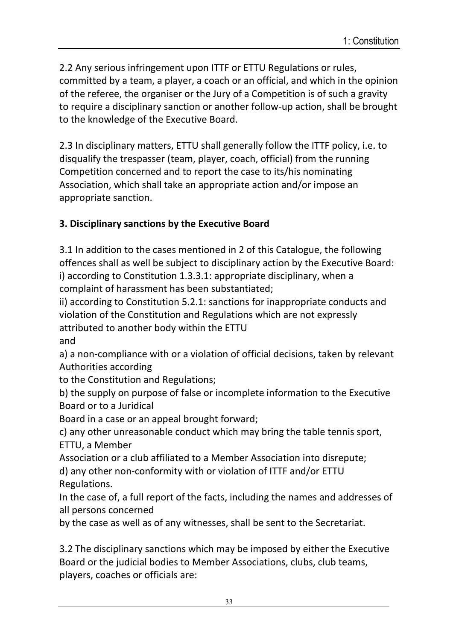2.2 Any serious infringement upon ITTF or ETTU Regulations or rules, committed by a team, a player, a coach or an official, and which in the opinion of the referee, the organiser or the Jury of a Competition is of such a gravity to require a disciplinary sanction or another follow-up action, shall be brought to the knowledge of the Executive Board.

2.3 In disciplinary matters, ETTU shall generally follow the ITTF policy, i.e. to disqualify the trespasser (team, player, coach, official) from the running Competition concerned and to report the case to its/his nominating Association, which shall take an appropriate action and/or impose an appropriate sanction.

### **3. Disciplinary sanctions by the Executive Board**

3.1 In addition to the cases mentioned in 2 of this Catalogue, the following offences shall as well be subject to disciplinary action by the Executive Board: i) according to Constitution 1.3.3.1: appropriate disciplinary, when a complaint of harassment has been substantiated;

ii) according to Constitution 5.2.1: sanctions for inappropriate conducts and violation of the Constitution and Regulations which are not expressly attributed to another body within the ETTU and

a) a non-compliance with or a violation of official decisions, taken by relevant Authorities according

to the Constitution and Regulations;

b) the supply on purpose of false or incomplete information to the Executive Board or to a Juridical

Board in a case or an appeal brought forward;

c) any other unreasonable conduct which may bring the table tennis sport, ETTU, a Member

Association or a club affiliated to a Member Association into disrepute;

d) any other non-conformity with or violation of ITTF and/or ETTU Regulations.

In the case of, a full report of the facts, including the names and addresses of all persons concerned

by the case as well as of any witnesses, shall be sent to the Secretariat.

3.2 The disciplinary sanctions which may be imposed by either the Executive Board or the judicial bodies to Member Associations, clubs, club teams, players, coaches or officials are: